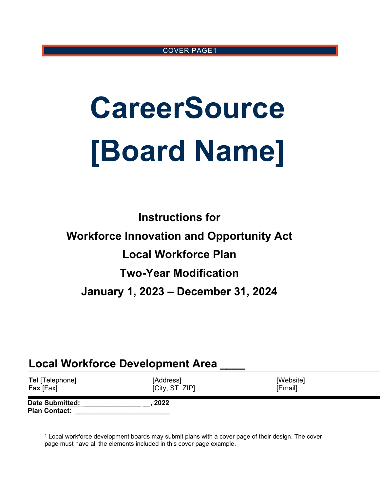#### COVER PAGE[1](#page-0-0)

# **CareerSource [Board Name]**

**Instructions for Workforce Innovation and Opportunity Act Local Workforce Plan Two-Year Modification January 1, 2023 – December 31, 2024**

# **Local Workforce Development Area \_\_\_\_**

| <b>Tel</b> [Telephone]                         | [Address]      | [Website] |
|------------------------------------------------|----------------|-----------|
| <b>Fax</b> [Fax]                               | [City, ST ZIP] | [Email]   |
| <b>Date Submitted:</b><br><b>Plan Contact:</b> | 2022           |           |

<span id="page-0-0"></span><sup>1</sup> Local workforce development boards may submit plans with a cover page of their design. The cover page must have all the elements included in this cover page example.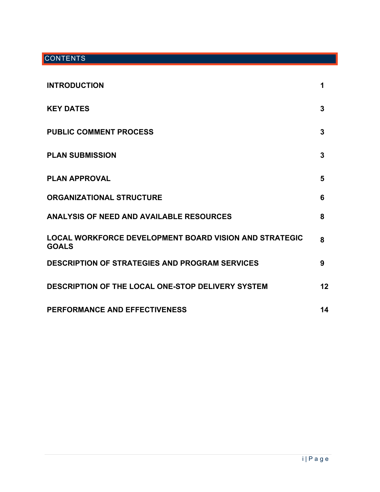## **CONTENTS**

| <b>INTRODUCTION</b>                                                           | 1  |
|-------------------------------------------------------------------------------|----|
| <b>KEY DATES</b>                                                              | 3  |
| <b>PUBLIC COMMENT PROCESS</b>                                                 | 3  |
| <b>PLAN SUBMISSION</b>                                                        | 3  |
| <b>PLAN APPROVAL</b>                                                          | 5  |
| <b>ORGANIZATIONAL STRUCTURE</b>                                               | 6  |
| ANALYSIS OF NEED AND AVAILABLE RESOURCES                                      | 8  |
| <b>LOCAL WORKFORCE DEVELOPMENT BOARD VISION AND STRATEGIC</b><br><b>GOALS</b> | 8  |
| <b>DESCRIPTION OF STRATEGIES AND PROGRAM SERVICES</b>                         | 9  |
| DESCRIPTION OF THE LOCAL ONE-STOP DELIVERY SYSTEM                             | 12 |
| <b>PERFORMANCE AND EFFECTIVENESS</b>                                          | 14 |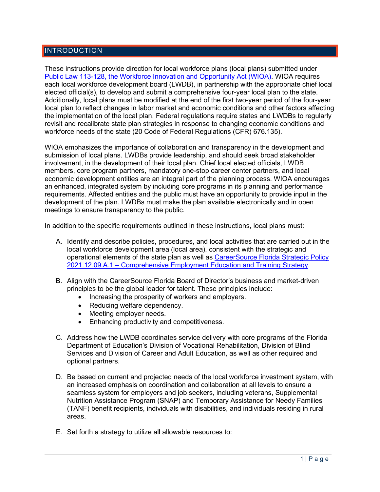#### **INTRODUCTION**

These instructions provide direction for local workforce plans (local plans) submitted under [Public Law 113-128, the Workforce Innovation and Opportunity Act \(WIOA\).](https://www.govinfo.gov/content/pkg/PLAW-113publ128/pdf/PLAW-113publ128.pdf) WIOA requires each local workforce development board (LWDB), in partnership with the appropriate chief local elected official(s), to develop and submit a comprehensive four-year local plan to the state. Additionally, local plans must be modified at the end of the first two-year period of the four-year local plan to reflect changes in labor market and economic conditions and other factors affecting the implementation of the local plan. Federal regulations require states and LWDBs to regularly revisit and recalibrate state plan strategies in response to changing economic conditions and workforce needs of the state (20 Code of Federal Regulations (CFR) 676.135).

WIOA emphasizes the importance of collaboration and transparency in the development and submission of local plans. LWDBs provide leadership, and should seek broad stakeholder involvement, in the development of their local plan. Chief local elected officials, LWDB members, core program partners, mandatory one-stop career center partners, and local economic development entities are an integral part of the planning process. WIOA encourages an enhanced, integrated system by including core programs in its planning and performance requirements. Affected entities and the public must have an opportunity to provide input in the development of the plan. LWDBs must make the plan available electronically and in open meetings to ensure transparency to the public.

In addition to the specific requirements outlined in these instructions, local plans must:

- A. Identify and describe policies, procedures, and local activities that are carried out in the local workforce development area (local area), consistent with the strategic and operational elements of the state plan as well as [CareerSource Florida Strategic Policy](https://careersourceflorida.com/wp-content/uploads/2021/12/Comprehensive-Employment-Education-and-Training-Strategy.pdf)  [2021.12.09.A.1 – Comprehensive Employment Education and Training Strategy.](https://careersourceflorida.com/wp-content/uploads/2021/12/Comprehensive-Employment-Education-and-Training-Strategy.pdf)
- B. Align with the CareerSource Florida Board of Director's business and market-driven principles to be the global leader for talent. These principles include:
	- Increasing the prosperity of workers and employers.
	- Reducing welfare dependency.
	- Meeting employer needs.
	- Enhancing productivity and competitiveness.
- C. Address how the LWDB coordinates service delivery with core programs of the Florida Department of Education's Division of Vocational Rehabilitation, Division of Blind Services and Division of Career and Adult Education, as well as other required and optional partners.
- D. Be based on current and projected needs of the local workforce investment system, with an increased emphasis on coordination and collaboration at all levels to ensure a seamless system for employers and job seekers, including veterans, Supplemental Nutrition Assistance Program (SNAP) and Temporary Assistance for Needy Families (TANF) benefit recipients, individuals with disabilities, and individuals residing in rural areas.
- E. Set forth a strategy to utilize all allowable resources to: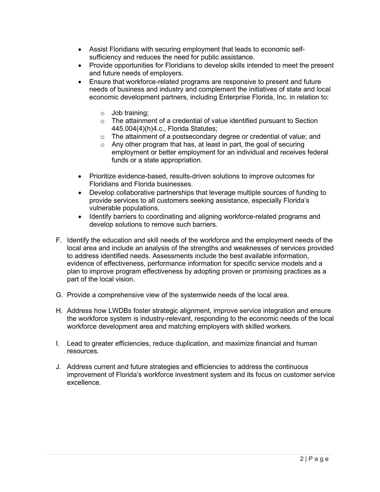- Assist Floridians with securing employment that leads to economic selfsufficiency and reduces the need for public assistance.
- Provide opportunities for Floridians to develop skills intended to meet the present and future needs of employers.
- Ensure that workforce-related programs are responsive to present and future needs of business and industry and complement the initiatives of state and local economic development partners, including Enterprise Florida, Inc. in relation to:
	- o Job training;
	- o The attainment of a credential of value identified pursuant to Section 445.004(4)(h)4.c., Florida Statutes;
	- o The attainment of a postsecondary degree or credential of value; and
	- o Any other program that has, at least in part, the goal of securing employment or better employment for an individual and receives federal funds or a state appropriation.
- Prioritize evidence-based, results-driven solutions to improve outcomes for Floridians and Florida businesses.
- Develop collaborative partnerships that leverage multiple sources of funding to provide services to all customers seeking assistance, especially Florida's vulnerable populations.
- Identify barriers to coordinating and aligning workforce-related programs and develop solutions to remove such barriers.
- F. Identify the education and skill needs of the workforce and the employment needs of the local area and include an analysis of the strengths and weaknesses of services provided to address identified needs. Assessments include the best available information, evidence of effectiveness, performance information for specific service models and a plan to improve program effectiveness by adopting proven or promising practices as a part of the local vision.
- G. Provide a comprehensive view of the systemwide needs of the local area.
- H. Address how LWDBs foster strategic alignment, improve service integration and ensure the workforce system is industry-relevant, responding to the economic needs of the local workforce development area and matching employers with skilled workers.
- I. Lead to greater efficiencies, reduce duplication, and maximize financial and human resources.
- J. Address current and future strategies and efficiencies to address the continuous improvement of Florida's workforce investment system and its focus on customer service excellence.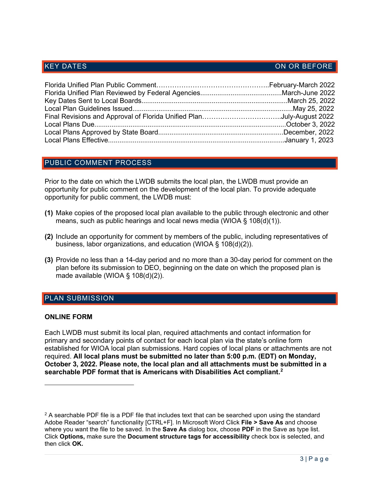#### KEY DATES AND RESIDENCE IN A RELATION ON OR BEFORE

#### PUBLIC COMMENT PROCESS

Prior to the date on which the LWDB submits the local plan, the LWDB must provide an opportunity for public comment on the development of the local plan. To provide adequate opportunity for public comment, the LWDB must:

- **(1)** Make copies of the proposed local plan available to the public through electronic and other means, such as public hearings and local news media (WIOA § 108(d)(1)).
- **(2)** Include an opportunity for comment by members of the public, including representatives of business, labor organizations, and education (WIOA § 108(d)(2)).
- **(3)** Provide no less than a 14-day period and no more than a 30-day period for comment on the plan before its submission to DEO, beginning on the date on which the proposed plan is made available (WIOA  $\S$  108(d)(2)).

#### PLAN SUBMISSION

#### **ONLINE FORM**

Each LWDB must submit its local plan, required attachments and contact information for primary and secondary points of contact for each local plan via the state's online form established for WIOA local plan submissions. Hard copies of local plans or attachments are not required. **All local plans must be submitted no later than 5:00 p.m. (EDT) on Monday, October 3, 2022. Please note, the local plan and all attachments must be submitted in a searchable PDF format that is Americans with Disabilities Act compliant. [2](#page-4-0)**

<span id="page-4-0"></span> $2$  A searchable PDF file is a PDF file that includes text that can be searched upon using the standard Adobe Reader "search" functionality [CTRL+F]. In Microsoft Word Click **File > Save As** and choose where you want the file to be saved. In the **Save As** dialog box, choose **PDF** in the Save as type list. Click **Options,** make sure the **Document structure tags for accessibility** check box is selected, and then click **OK.**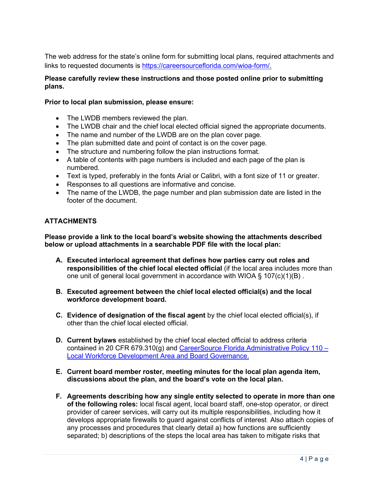The web address for the state's online form for submitting local plans, required attachments and links to requested documents is [https://careersourceflorida.com/wioa-form/.](https://careersourceflorida.com/wioa-form/)

#### **Please carefully review these instructions and those posted online prior to submitting plans.**

#### **Prior to local plan submission, please ensure:**

- The LWDB members reviewed the plan.
- The LWDB chair and the chief local elected official signed the appropriate documents.
- The name and number of the LWDB are on the plan cover page.
- The plan submitted date and point of contact is on the cover page.
- The structure and numbering follow the plan instructions format.
- A table of contents with page numbers is included and each page of the plan is numbered.
- Text is typed, preferably in the fonts Arial or Calibri, with a font size of 11 or greater.
- Responses to all questions are informative and concise.
- The name of the LWDB, the page number and plan submission date are listed in the footer of the document.

#### **ATTACHMENTS**

**Please provide a link to the local board's website showing the attachments described below or upload attachments in a searchable PDF file with the local plan:**

- **A. Executed interlocal agreement that defines how parties carry out roles and responsibilities of the chief local elected official** (if the local area includes more than one unit of general local government in accordance with WIOA § 107(c)(1)(B) .
- **B. Executed agreement between the chief local elected official(s) and the local workforce development board.**
- **C. Evidence of designation of the fiscal agent** by the chief local elected official(s), if other than the chief local elected official.
- **D. Current bylaws** established by the chief local elected official to address criteria contained in 20 CFR 679.310(g) and CareerSource Florida Administrative Policy 110  $-$ [Local Workforce Development Area and Board Governance.](http://floridajobs.org/docs/default-source/lwdb-resources/policy-and-guidance/guidance-papers/2021-guidance-papers/adminpol110_-wioa-lwdaandbrdgov-final-07012021.pdf?sfvrsn=e6004eb0_2)
- **E. Current board member roster, meeting minutes for the local plan agenda item, discussions about the plan, and the board's vote on the local plan.**
- **F. Agreements describing how any single entity selected to operate in more than one of the following roles:** local fiscal agent, local board staff, one-stop operator, or direct provider of career services, will carry out its multiple responsibilities, including how it develops appropriate firewalls to guard against conflicts of interest. Also attach copies of any processes and procedures that clearly detail a) how functions are sufficiently separated; b) descriptions of the steps the local area has taken to mitigate risks that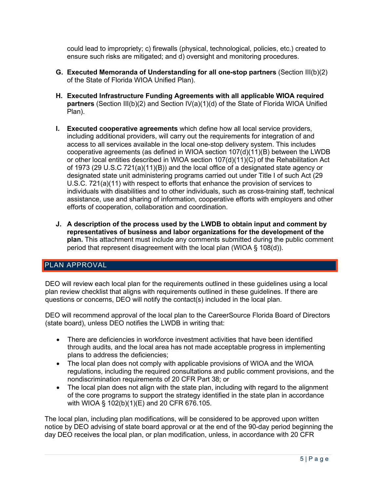could lead to impropriety; c) firewalls (physical, technological, policies, etc.) created to ensure such risks are mitigated; and d) oversight and monitoring procedures.

- **G. Executed Memoranda of Understanding for all one-stop partners** (Section III(b)(2) of the State of Florida WIOA Unified Plan).
- **H. Executed Infrastructure Funding Agreements with all applicable WIOA required partners** (Section III(b)(2) and Section IV(a)(1)(d) of the State of Florida WIOA Unified Plan).
- **I. Executed cooperative agreements** which define how all local service providers, including additional providers, will carry out the requirements for integration of and access to all services available in the local one-stop delivery system. This includes cooperative agreements (as defined in WIOA section 107(d)(11)(B) between the LWDB or other local entities described in WIOA section 107(d)(11)(C) of the Rehabilitation Act of 1973 (29 U.S.C 721(a)(11)(B)) and the local office of a designated state agency or designated state unit administering programs carried out under Title I of such Act (29 U.S.C. 721(a)(11) with respect to efforts that enhance the provision of services to individuals with disabilities and to other individuals, such as cross-training staff, technical assistance, use and sharing of information, cooperative efforts with employers and other efforts of cooperation, collaboration and coordination.
- **J. A description of the process used by the LWDB to obtain input and comment by representatives of business and labor organizations for the development of the plan.** This attachment must include any comments submitted during the public comment period that represent disagreement with the local plan (WIOA § 108(d)).

### PLAN APPROVAL

DEO will review each local plan for the requirements outlined in these guidelines using a local plan review checklist that aligns with requirements outlined in these guidelines. If there are questions or concerns, DEO will notify the contact(s) included in the local plan.

DEO will recommend approval of the local plan to the CareerSource Florida Board of Directors (state board), unless DEO notifies the LWDB in writing that:

- There are deficiencies in workforce investment activities that have been identified through audits, and the local area has not made acceptable progress in implementing plans to address the deficiencies;
- The local plan does not comply with applicable provisions of WIOA and the WIOA regulations, including the required consultations and public comment provisions, and the nondiscrimination requirements of 20 CFR Part 38; or
- The local plan does not align with the state plan, including with regard to the alignment of the core programs to support the strategy identified in the state plan in accordance with WIOA § 102(b)(1)(E) and 20 CFR 676.105.

The local plan, including plan modifications, will be considered to be approved upon written notice by DEO advising of state board approval or at the end of the 90-day period beginning the day DEO receives the local plan, or plan modification, unless, in accordance with 20 CFR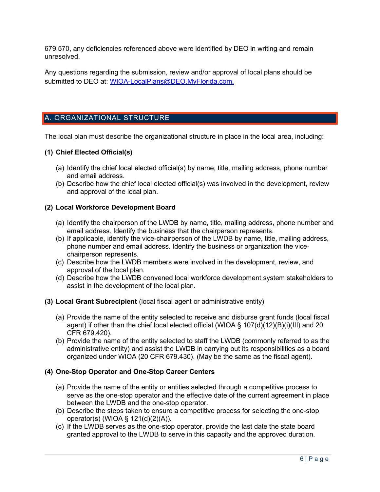679.570, any deficiencies referenced above were identified by DEO in writing and remain unresolved.

Any questions regarding the submission, review and/or approval of local plans should be submitted to DEO at: [WIOA-LocalPlans@DEO.MyFlorida.com.](mailto:WIOA-LocalPlans@DEO.MyFlorida.com.)

### A. ORGANIZATIONAL STRUCTURE

The local plan must describe the organizational structure in place in the local area, including:

#### **(1) Chief Elected Official(s)**

- (a) Identify the chief local elected official(s) by name, title, mailing address, phone number and email address.
- (b) Describe how the chief local elected official(s) was involved in the development, review and approval of the local plan.

#### **(2) Local Workforce Development Board**

- (a) Identify the chairperson of the LWDB by name, title, mailing address, phone number and email address. Identify the business that the chairperson represents.
- (b) If applicable, identify the vice-chairperson of the LWDB by name, title, mailing address, phone number and email address. Identify the business or organization the vicechairperson represents.
- (c) Describe how the LWDB members were involved in the development, review, and approval of the local plan.
- (d) Describe how the LWDB convened local workforce development system stakeholders to assist in the development of the local plan.
- **(3) Local Grant Subrecipient** (local fiscal agent or administrative entity)
	- (a) Provide the name of the entity selected to receive and disburse grant funds (local fiscal agent) if other than the chief local elected official (WIOA § 107(d)(12)(B)(i)(III) and 20 CFR 679.420).
	- (b) Provide the name of the entity selected to staff the LWDB (commonly referred to as the administrative entity) and assist the LWDB in carrying out its responsibilities as a board organized under WIOA (20 CFR 679.430). (May be the same as the fiscal agent).

#### **(4) One-Stop Operator and One-Stop Career Centers**

- (a) Provide the name of the entity or entities selected through a competitive process to serve as the one-stop operator and the effective date of the current agreement in place between the LWDB and the one-stop operator.
- (b) Describe the steps taken to ensure a competitive process for selecting the one-stop operator(s) (WIOA § 121(d)(2)(A)).
- (c) If the LWDB serves as the one-stop operator, provide the last date the state board granted approval to the LWDB to serve in this capacity and the approved duration.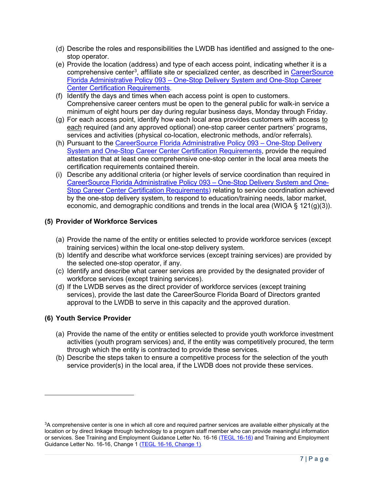- (d) Describe the roles and responsibilities the LWDB has identified and assigned to the onestop operator.
- (e) Provide the location (address) and type of each access point, indicating whether it is a comprehensive center<sup>[3](#page-8-0)</sup>, affiliate site or specialized center, as described in <u>CareerSource</u> [Florida Administrative Policy 093 – One-Stop Delivery System and One-Stop Career](http://floridajobs.org/docs/default-source/lwdb-resources/programs-and-resources/wioa/2021-wioa/ap-093---one-stop-career-center-requirements---final---12-15-2021.pdf?sfvrsn=de0c50b0_2)  [Center Certification Requirements.](http://floridajobs.org/docs/default-source/lwdb-resources/programs-and-resources/wioa/2021-wioa/ap-093---one-stop-career-center-requirements---final---12-15-2021.pdf?sfvrsn=de0c50b0_2)
- (f) Identify the days and times when each access point is open to customers. Comprehensive career centers must be open to the general public for walk-in service a minimum of eight hours per day during regular business days, Monday through Friday.
- (g) For each access point, identify how each local area provides customers with access to each required (and any approved optional) one-stop career center partners' programs, services and activities (physical co-location, electronic methods, and/or referrals).
- (h) Pursuant to the CareerSource Florida Administrative Policy 093 One-Stop Delivery [System and One-Stop Career Center Certification Requirements,](http://floridajobs.org/docs/default-source/lwdb-resources/programs-and-resources/wioa/2021-wioa/ap-093---one-stop-career-center-requirements---final---12-15-2021.pdf?sfvrsn=de0c50b0_2) provide the required attestation that at least one comprehensive one-stop center in the local area meets the certification requirements contained therein.
- (i) Describe any additional criteria (or higher levels of service coordination than required in [CareerSource Florida Administrative Policy 093 – One-Stop Delivery System and One-](http://floridajobs.org/docs/default-source/lwdb-resources/programs-and-resources/wioa/2021-wioa/ap-093---one-stop-career-center-requirements---final---12-15-2021.pdf?sfvrsn=de0c50b0_2)[Stop Career Center Certification Requirements\)](http://floridajobs.org/docs/default-source/lwdb-resources/programs-and-resources/wioa/2021-wioa/ap-093---one-stop-career-center-requirements---final---12-15-2021.pdf?sfvrsn=de0c50b0_2) relating to service coordination achieved by the one-stop delivery system, to respond to education/training needs, labor market, economic, and demographic conditions and trends in the local area (WIOA  $\S$  121(g)(3)).

#### **(5) Provider of Workforce Services**

- (a) Provide the name of the entity or entities selected to provide workforce services (except training services) within the local one-stop delivery system.
- (b) Identify and describe what workforce services (except training services) are provided by the selected one-stop operator, if any.
- (c) Identify and describe what career services are provided by the designated provider of workforce services (except training services).
- (d) If the LWDB serves as the direct provider of workforce services (except training services), provide the last date the CareerSource Florida Board of Directors granted approval to the LWDB to serve in this capacity and the approved duration.

#### **(6) Youth Service Provider**

- (a) Provide the name of the entity or entities selected to provide youth workforce investment activities (youth program services) and, if the entity was competitively procured, the term through which the entity is contracted to provide these services.
- (b) Describe the steps taken to ensure a competitive process for the selection of the youth service provider(s) in the local area, if the LWDB does not provide these services.

<span id="page-8-0"></span><sup>3</sup>A comprehensive center is one in which all core and required partner services are available either physically at the location or by direct linkage through technology to a program staff member who can provide meaningful information or services. See Training and Employment Guidance Letter No. 16-16 [\(TEGL 16-16\)](https://wdr.doleta.gov/directives/attach/TEGL/TEGL_16-16_Acc.pdf) and Training and Employment Guidance Letter No. 16-16, Change 1 [\(TEGL 16-16, Change 1\)](https://wdr.doleta.gov/directives/attach/TEGL/TEGL_16-16_Change_1_Acc.pdf).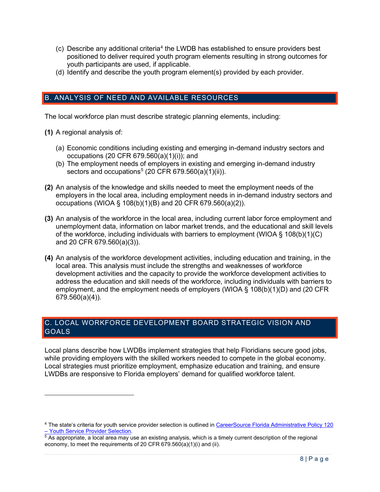- $(c)$  Describe any additional criteria<sup>[4](#page-9-0)</sup> the LWDB has established to ensure providers best positioned to deliver required youth program elements resulting in strong outcomes for youth participants are used, if applicable.
- (d) Identify and describe the youth program element(s) provided by each provider.

### B. ANALYSIS OF NEED AND AVAILABLE RESOURCES

The local workforce plan must describe strategic planning elements, including:

- **(1)** A regional analysis of:
	- (a) Economic conditions including existing and emerging in-demand industry sectors and occupations (20 CFR 679.560(a)(1)(i)); and
	- (b) The employment needs of employers in existing and emerging in-demand industry sectors and occupations<sup>[5](#page-9-1)</sup> (20 CFR 679.560(a)(1)(ii)).
- **(2)** An analysis of the knowledge and skills needed to meet the employment needs of the employers in the local area, including employment needs in in-demand industry sectors and occupations (WIOA § 108(b)(1)(B) and 20 CFR 679.560(a)(2)).
- **(3)** An analysis of the workforce in the local area, including current labor force employment and unemployment data, information on labor market trends, and the educational and skill levels of the workforce, including individuals with barriers to employment (WIOA § 108(b)(1)(C) and 20 CFR 679.560(a)(3)).
- **(4)** An analysis of the workforce development activities, including education and training, in the local area. This analysis must include the strengths and weaknesses of workforce development activities and the capacity to provide the workforce development activities to address the education and skill needs of the workforce, including individuals with barriers to employment, and the employment needs of employers (WIOA § 108(b)(1)(D) and (20 CFR 679.560(a)(4)).

#### C. LOCAL WORKFORCE DEVELOPMENT BOARD STRATEGIC VISION AND **GOALS**

Local plans describe how LWDBs implement strategies that help Floridians secure good jobs, while providing employers with the skilled workers needed to compete in the global economy. Local strategies must prioritize employment, emphasize education and training, and ensure LWDBs are responsive to Florida employers' demand for qualified workforce talent.

<span id="page-9-0"></span><sup>&</sup>lt;sup>4</sup> The state's criteria for youth service provider selection is outlined in <u>CareerSource Florida Administrative Policy 120</u><br>– Youth Service Provider Selection.

<span id="page-9-1"></span> $5$  As appropriate, a local area may use an existing analysis, which is a timely current description of the regional economy, to meet the requirements of 20 CFR 679.560(a)(1)(i) and (ii).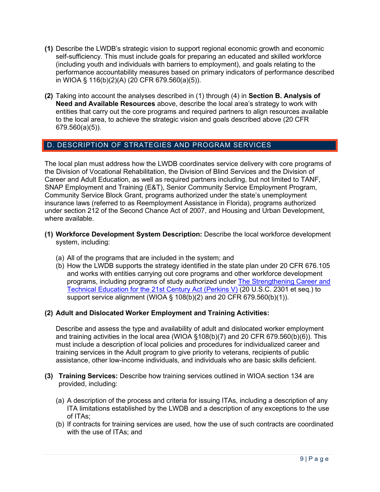- **(1)** Describe the LWDB's strategic vision to support regional economic growth and economic self-sufficiency. This must include goals for preparing an educated and skilled workforce (including youth and individuals with barriers to employment), and goals relating to the performance accountability measures based on primary indicators of performance described in WIOA § 116(b)(2)(A) (20 CFR 679.560(a)(5)).
- **(2)** Taking into account the analyses described in (1) through (4) in **Section B. Analysis of Need and Available Resources** above, describe the local area's strategy to work with entities that carry out the core programs and required partners to align resources available to the local area, to achieve the strategic vision and goals described above (20 CFR 679.560(a)(5)).

#### D. DESCRIPTION OF STRATEGIES AND PROGRAM SERVICES

The local plan must address how the LWDB coordinates service delivery with core programs of the Division of Vocational Rehabilitation, the Division of Blind Services and the Division of Career and Adult Education, as well as required partners including, but not limited to TANF, SNAP Employment and Training (E&T), Senior Community Service Employment Program, Community Service Block Grant, programs authorized under the state's unemployment insurance laws (referred to as Reemployment Assistance in Florida), programs authorized under section 212 of the Second Chance Act of 2007, and Housing and Urban Development, where available.

- **(1) Workforce Development System Description:** Describe the local workforce development system, including:
	- (a) All of the programs that are included in the system; and
	- (b) How the LWDB supports the strategy identified in the state plan under 20 CFR 676.105 and works with entities carrying out core programs and other workforce development programs, including programs of study authorized under [The Strengthening Career and](https://www.congress.gov/bill/115th-congress/house-bill/2353)  [Technical Education for the 21st Century Act \(Perkins V\)](https://www.congress.gov/bill/115th-congress/house-bill/2353) (20 U.S.C. 2301 et seq.) to support service alignment (WIOA § 108(b)(2) and 20 CFR 679.560(b)(1)).

#### **(2) Adult and Dislocated Worker Employment and Training Activities:**

Describe and assess the type and availability of adult and dislocated worker employment and training activities in the local area (WIOA §108(b)(7) and 20 CFR 679.560(b)(6)). This must include a description of local policies and procedures for individualized career and training services in the Adult program to give priority to veterans, recipients of public assistance, other low-income individuals, and individuals who are basic skills deficient.

- **(3) Training Services:** Describe how training services outlined in WIOA section 134 are provided, including:
	- (a) A description of the process and criteria for issuing ITAs, including a description of any ITA limitations established by the LWDB and a description of any exceptions to the use of ITAs;
	- (b) If contracts for training services are used, how the use of such contracts are coordinated with the use of ITAs; and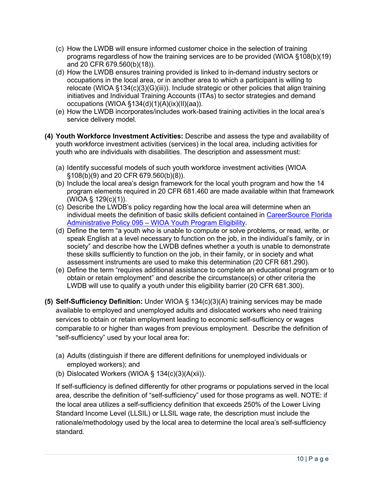- (c) How the LWDB will ensure informed customer choice in the selection of training programs regardless of how the training services are to be provided (WIOA §108(b)(19) and 20 CFR 679.560(b)(18)).
- (d) How the LWDB ensures training provided is linked to in-demand industry sectors or occupations in the local area, or in another area to which a participant is willing to relocate (WIOA §134(c)(3)(G)(iii)). Include strategic or other policies that align training initiatives and Individual Training Accounts (ITAs) to sector strategies and demand occupations (WIOA §134(d)(1)(A)(ix)(II)(aa)).
- (e) How the LWDB incorporates/includes work-based training activities in the local area's service delivery model.
- **(4) Youth Workforce Investment Activities:** Describe and assess the type and availability of youth workforce investment activities (services) in the local area, including activities for youth who are individuals with disabilities. The description and assessment must:
	- (a) Identify successful models of such youth workforce investment activities (WIOA §108(b)(9) and 20 CFR 679.560(b)(8)).
	- (b) Include the local area's design framework for the local youth program and how the 14 program elements required in 20 CFR 681.460 are made available within that framework (WIOA § 129(c)(1)).
	- (c) Describe the LWDB's policy regarding how the local area will determine when an individual meets the definition of basic skills deficient contained in [CareerSource Florida](http://floridajobs.org/docs/default-source/lwdb-resources/policy-and-guidance/guidance-papers/2022-guidance-papers/administrative-policy-095---youth-eligibility25e131a4cbbb61cbb02aff01004f56df.pdf?sfvrsn=2b5a50b0_2)  [Administrative Policy 095 – WIOA Youth Program Eligibility.](http://floridajobs.org/docs/default-source/lwdb-resources/policy-and-guidance/guidance-papers/2022-guidance-papers/administrative-policy-095---youth-eligibility25e131a4cbbb61cbb02aff01004f56df.pdf?sfvrsn=2b5a50b0_2)
	- (d) Define the term "a youth who is unable to compute or solve problems, or read, write, or speak English at a level necessary to function on the job, in the individual's family, or in society" and describe how the LWDB defines whether a youth is unable to demonstrate these skills sufficiently to function on the job, in their family, or in society and what assessment instruments are used to make this determination (20 CFR 681.290).
	- (e) Define the term "requires additional assistance to complete an educational program or to obtain or retain employment" and describe the circumstance(s) or other criteria the LWDB will use to qualify a youth under this eligibility barrier (20 CFR 681.300).
- **(5) Self-Sufficiency Definition:** Under WIOA § 134(c)(3)(A) training services may be made available to employed and unemployed adults and dislocated workers who need training services to obtain or retain employment leading to economic self-sufficiency or wages comparable to or higher than wages from previous employment. Describe the definition of "self-sufficiency" used by your local area for:
	- (a) Adults (distinguish if there are different definitions for unemployed individuals or employed workers); and
	- (b) Dislocated Workers (WIOA  $\S$  134(c)(3)(A(xii)).

If self-sufficiency is defined differently for other programs or populations served in the local area, describe the definition of "self-sufficiency" used for those programs as well. NOTE: if the local area utilizes a self-sufficiency definition that exceeds 250% of the Lower Living Standard Income Level (LLSIL) or LLSIL wage rate, the description must include the rationale/methodology used by the local area to determine the local area's self-sufficiency standard.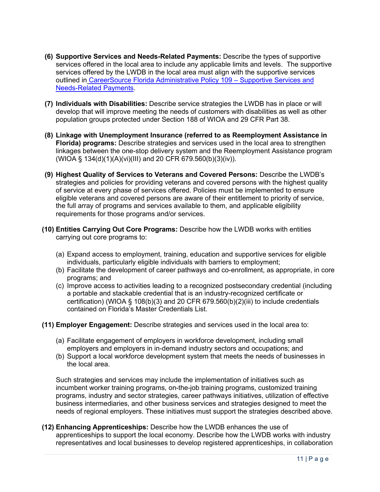- **(6) Supportive Services and Needs-Related Payments:** Describe the types of supportive services offered in the local area to include any applicable limits and levels. The supportive services offered by the LWDB in the local area must align with the supportive services outlined in [CareerSource Florida Administrative Policy 109 – Supportive Services and](http://floridajobs.org/docs/default-source/lwdb-resources/policy-and-guidance/guidance-papers/2021-guidance-papers/adminpol109_wioa_supportiveservicesandneedsrelatedpayments---final-02-22-21.pdf?sfvrsn=81714db0_2)  [Needs-Related Payments.](http://floridajobs.org/docs/default-source/lwdb-resources/policy-and-guidance/guidance-papers/2021-guidance-papers/adminpol109_wioa_supportiveservicesandneedsrelatedpayments---final-02-22-21.pdf?sfvrsn=81714db0_2)
- **(7) Individuals with Disabilities:** Describe service strategies the LWDB has in place or will develop that will improve meeting the needs of customers with disabilities as well as other population groups protected under Section 188 of WIOA and 29 CFR Part 38.
- **(8) Linkage with Unemployment Insurance (referred to as Reemployment Assistance in Florida) programs:** Describe strategies and services used in the local area to strengthen linkages between the one-stop delivery system and the Reemployment Assistance program (WIOA § 134(d)(1)(A)(vi)(III) and 20 CFR 679.560(b)(3)(iv)).
- **(9) Highest Quality of Services to Veterans and Covered Persons:** Describe the LWDB's strategies and policies for providing veterans and covered persons with the highest quality of service at every phase of services offered. Policies must be implemented to ensure eligible veterans and covered persons are aware of their entitlement to priority of service, the full array of programs and services available to them, and applicable eligibility requirements for those programs and/or services.
- **(10) Entities Carrying Out Core Programs:** Describe how the LWDB works with entities carrying out core programs to:
	- (a) Expand access to employment, training, education and supportive services for eligible individuals, particularly eligible individuals with barriers to employment;
	- (b) Facilitate the development of career pathways and co-enrollment, as appropriate, in core programs; and
	- (c) Improve access to activities leading to a recognized postsecondary credential (including a portable and stackable credential that is an industry-recognized certificate or certification) (WIOA § 108(b)(3) and 20 CFR 679.560(b)(2)(iii) to include credentials contained on Florida's Master Credentials List.
- **(11) Employer Engagement:** Describe strategies and services used in the local area to:
	- (a) Facilitate engagement of employers in workforce development, including small employers and employers in in-demand industry sectors and occupations; and
	- (b) Support a local workforce development system that meets the needs of businesses in the local area.

Such strategies and services may include the implementation of initiatives such as incumbent worker training programs, on-the-job training programs, customized training programs, industry and sector strategies, career pathways initiatives, utilization of effective business intermediaries, and other business services and strategies designed to meet the needs of regional employers. These initiatives must support the strategies described above.

**(12) Enhancing Apprenticeships:** Describe how the LWDB enhances the use of apprenticeships to support the local economy. Describe how the LWDB works with industry representatives and local businesses to develop registered apprenticeships, in collaboration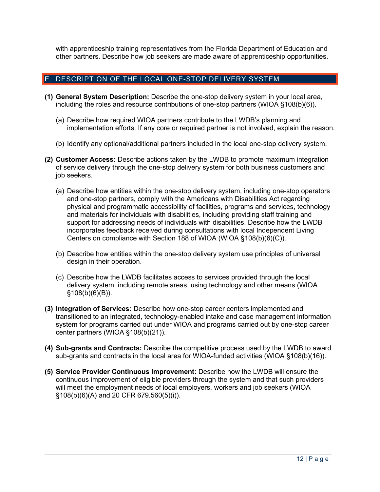with apprenticeship training representatives from the Florida Department of Education and other partners. Describe how job seekers are made aware of apprenticeship opportunities.

#### E. DESCRIPTION OF THE LOCAL ONE-STOP DELIVERY SYSTEM

- **(1) General System Description:** Describe the one-stop delivery system in your local area, including the roles and resource contributions of one-stop partners (WIOA §108(b)(6)).
	- (a) Describe how required WIOA partners contribute to the LWDB's planning and implementation efforts. If any core or required partner is not involved, explain the reason.
	- (b) Identify any optional/additional partners included in the local one-stop delivery system.
- **(2) Customer Access:** Describe actions taken by the LWDB to promote maximum integration of service delivery through the one-stop delivery system for both business customers and job seekers.
	- (a) Describe how entities within the one-stop delivery system, including one-stop operators and one-stop partners, comply with the Americans with Disabilities Act regarding physical and programmatic accessibility of facilities, programs and services, technology and materials for individuals with disabilities, including providing staff training and support for addressing needs of individuals with disabilities. Describe how the LWDB incorporates feedback received during consultations with local Independent Living Centers on compliance with Section 188 of WIOA (WIOA §108(b)(6)(C)).
	- (b) Describe how entities within the one-stop delivery system use principles of universal design in their operation.
	- (c) Describe how the LWDB facilitates access to services provided through the local delivery system, including remote areas, using technology and other means (WIOA §108(b)(6)(B)).
- **(3) Integration of Services:** Describe how one-stop career centers implemented and transitioned to an integrated, technology-enabled intake and case management information system for programs carried out under WIOA and programs carried out by one-stop career center partners (WIOA §108(b)(21)).
- **(4) Sub-grants and Contracts:** Describe the competitive process used by the LWDB to award sub-grants and contracts in the local area for WIOA-funded activities (WIOA §108(b)(16)).
- **(5) Service Provider Continuous Improvement:** Describe how the LWDB will ensure the continuous improvement of eligible providers through the system and that such providers will meet the employment needs of local employers, workers and job seekers (WIOA §108(b)(6)(A) and 20 CFR 679.560(5)(i)).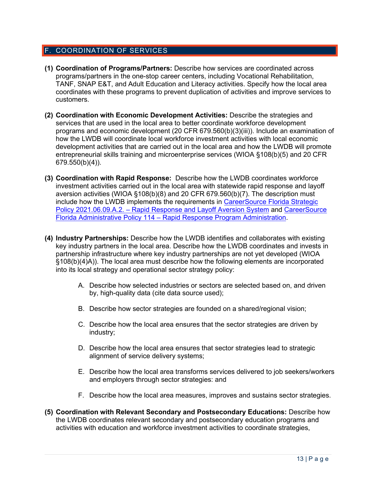#### F. COORDINATION OF SERVICES

- **(1) Coordination of Programs/Partners:** Describe how services are coordinated across programs/partners in the one-stop career centers, including Vocational Rehabilitation, TANF, SNAP E&T, and Adult Education and Literacy activities. Specify how the local area coordinates with these programs to prevent duplication of activities and improve services to customers.
- **(2) Coordination with Economic Development Activities:** Describe the strategies and services that are used in the local area to better coordinate workforce development programs and economic development (20 CFR 679.560(b)(3)(iii)). Include an examination of how the LWDB will coordinate local workforce investment activities with local economic development activities that are carried out in the local area and how the LWDB will promote entrepreneurial skills training and microenterprise services (WIOA §108(b)(5) and 20 CFR 679.550(b)(4)).
- **(3) Coordination with Rapid Response:** Describe how the LWDB coordinates workforce investment activities carried out in the local area with statewide rapid response and layoff aversion activities (WIOA §108(b)(8) and 20 CFR 679.560(b)(7). The description must include how the LWDB implements the requirements in [CareerSource Florida Strategic](https://careersourceflorida.com/wp-content/uploads/2021/06/21.-Rapid-Response-and-Layoff-Aversion-System-Strategic-Policy.pdf)  Policy [2021.06.09.A.2. – Rapid Response and Layoff Aversion System](https://careersourceflorida.com/wp-content/uploads/2021/06/21.-Rapid-Response-and-Layoff-Aversion-System-Strategic-Policy.pdf) and [CareerSource](http://floridajobs.org/docs/default-source/lwdb-resources/policy-and-guidance/guidance-papers/2021-guidance-papers/adminpol114_wioa-rapidresponseprogramadministration---final-06092021.pdf?sfvrsn=699d4eb0_2)  [Florida Administrative Policy 114 – Rapid Response Program Administration.](http://floridajobs.org/docs/default-source/lwdb-resources/policy-and-guidance/guidance-papers/2021-guidance-papers/adminpol114_wioa-rapidresponseprogramadministration---final-06092021.pdf?sfvrsn=699d4eb0_2)
- **(4) Industry Partnerships:** Describe how the LWDB identifies and collaborates with existing key industry partners in the local area. Describe how the LWDB coordinates and invests in partnership infrastructure where key industry partnerships are not yet developed (WIOA §108(b)(4)A)). The local area must describe how the following elements are incorporated into its local strategy and operational sector strategy policy:
	- A. Describe how selected industries or sectors are selected based on, and driven by, high-quality data (cite data source used);
	- B. Describe how sector strategies are founded on a shared/regional vision;
	- C. Describe how the local area ensures that the sector strategies are driven by industry;
	- D. Describe how the local area ensures that sector strategies lead to strategic alignment of service delivery systems;
	- E. Describe how the local area transforms services delivered to job seekers/workers and employers through sector strategies: and
	- F. Describe how the local area measures, improves and sustains sector strategies.
- **(5) Coordination with Relevant Secondary and Postsecondary Educations:** Describe how the LWDB coordinates relevant secondary and postsecondary education programs and activities with education and workforce investment activities to coordinate strategies,